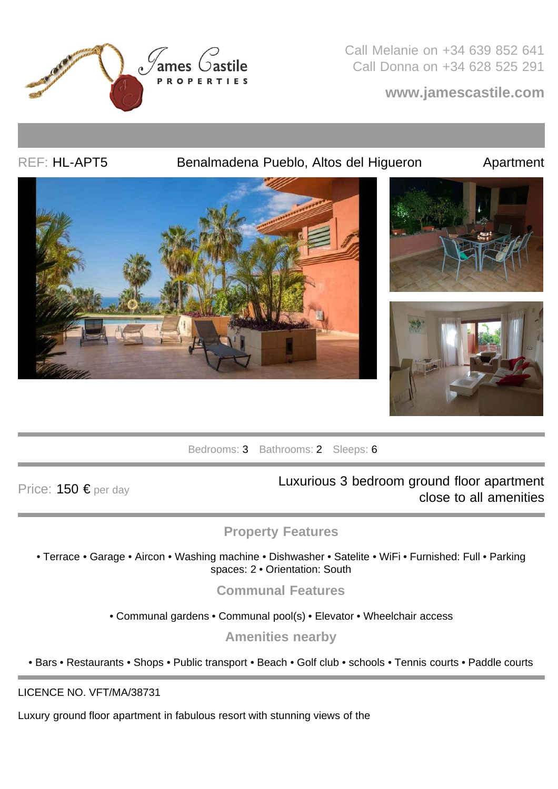

Call Melanie on +34 639 852 641 Call Donna on +34 628 525 291

**www.jamescastile.com**

## REF: HL-APT5 Benalmadena Pueblo, Altos del Higueron Apartment





Bedrooms: 3 Bathrooms: 2 Sleeps: 6

Price: 150 € per day **Luxurious 3 bedroom ground floor apartment** close to all amenities

## **Property Features**

• Terrace • Garage • Aircon • Washing machine • Dishwasher • Satelite • WiFi • Furnished: Full • Parking spaces: 2 · Orientation: South

**Communal Features**

• Communal gardens • Communal pool(s) • Elevator • Wheelchair access

**Amenities nearby**

• Bars • Restaurants • Shops • Public transport • Beach • Golf club • schools • Tennis courts • Paddle courts

LICENCE NO. VFT/MA/38731

Luxury ground floor apartment in fabulous resort with stunning views of the